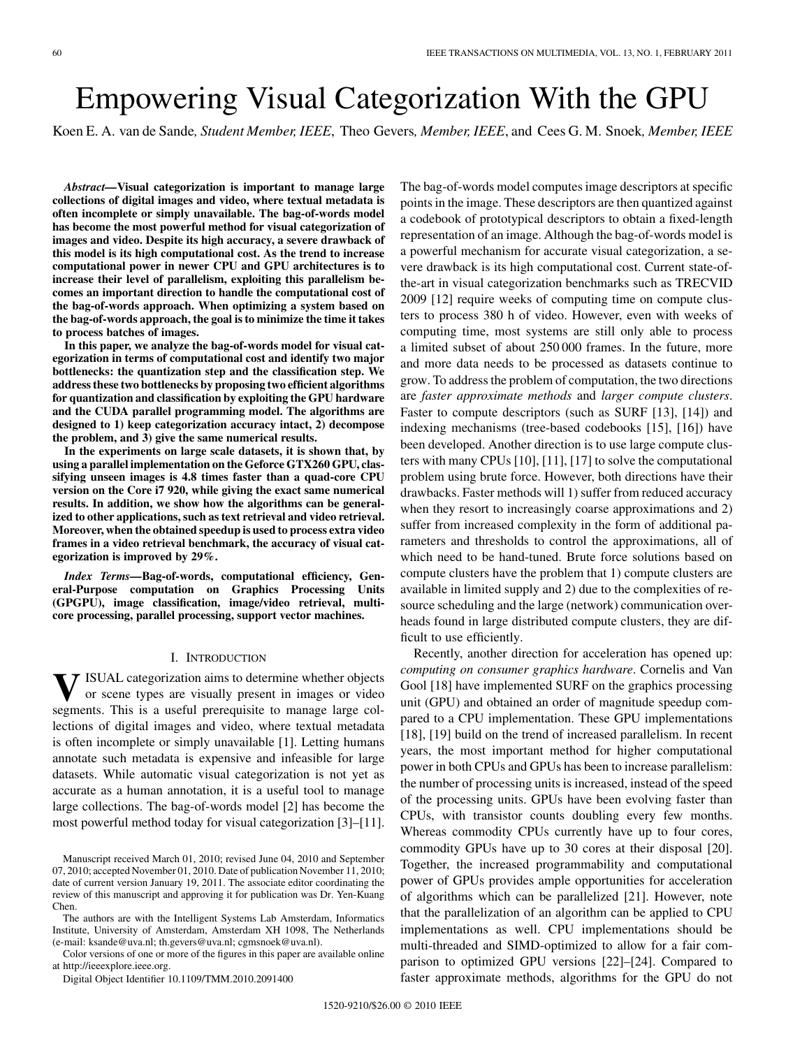# Empowering Visual Categorization With the GPU

Koen E. A. van de Sande*, Student Member, IEEE*, Theo Gevers*, Member, IEEE*, and Cees G. M. Snoek*, Member, IEEE*

*Abstract—***Visual categorization is important to manage large collections of digital images and video, where textual metadata is often incomplete or simply unavailable. The bag-of-words model has become the most powerful method for visual categorization of images and video. Despite its high accuracy, a severe drawback of this model is its high computational cost. As the trend to increase computational power in newer CPU and GPU architectures is to increase their level of parallelism, exploiting this parallelism becomes an important direction to handle the computational cost of the bag-of-words approach. When optimizing a system based on the bag-of-words approach, the goal is to minimize the time it takes to process batches of images.**

**In this paper, we analyze the bag-of-words model for visual categorization in terms of computational cost and identify two major bottlenecks: the quantization step and the classification step. We address these two bottlenecks by proposing two efficient algorithms for quantization and classification by exploiting the GPU hardware and the CUDA parallel programming model. The algorithms are designed to 1) keep categorization accuracy intact, 2) decompose the problem, and 3) give the same numerical results.**

**In the experiments on large scale datasets, it is shown that, by using a parallel implementation on the Geforce GTX260 GPU, classifying unseen images is 4.8 times faster than a quad-core CPU version on the Core i7 920, while giving the exact same numerical results. In addition, we show how the algorithms can be generalized to other applications, such as text retrieval and video retrieval. Moreover, when the obtained speedup is used to process extra video frames in a video retrieval benchmark, the accuracy of visual categorization is improved by 29%.**

*Index Terms—***Bag-of-words, computational efficiency, General-Purpose computation on Graphics Processing Units (GPGPU), image classification, image/video retrieval, multicore processing, parallel processing, support vector machines.**

#### I. INTRODUCTION

**V**ISUAL categorization aims to determine whether objects or scene types are visually present in images or video segments. This is a useful prerequisite to manage large collections of digital images and video, where textual metadata is often incomplete or simply unavailable [1]. Letting humans annotate such metadata is expensive and infeasible for large datasets. While automatic visual categorization is not yet as accurate as a human annotation, it is a useful tool to manage large collections. The bag-of-words model [2] has become the most powerful method today for visual categorization [3]–[11].

The authors are with the Intelligent Systems Lab Amsterdam, Informatics Institute, University of Amsterdam, Amsterdam XH 1098, The Netherlands (e-mail: ksande@uva.nl; th.gevers@uva.nl; cgmsnoek@uva.nl).

Color versions of one or more of the figures in this paper are available online at http://ieeexplore.ieee.org.

Digital Object Identifier 10.1109/TMM.2010.2091400

The bag-of-words model computes image descriptors at specific points in the image. These descriptors are then quantized against a codebook of prototypical descriptors to obtain a fixed-length representation of an image. Although the bag-of-words model is a powerful mechanism for accurate visual categorization, a severe drawback is its high computational cost. Current state-ofthe-art in visual categorization benchmarks such as TRECVID 2009 [12] require weeks of computing time on compute clusters to process 380 h of video. However, even with weeks of computing time, most systems are still only able to process a limited subset of about 250 000 frames. In the future, more and more data needs to be processed as datasets continue to grow. To address the problem of computation, the two directions are *faster approximate methods* and *larger compute clusters*. Faster to compute descriptors (such as SURF [13], [14]) and indexing mechanisms (tree-based codebooks [15], [16]) have been developed. Another direction is to use large compute clusters with many CPUs [10], [11], [17] to solve the computational problem using brute force. However, both directions have their drawbacks. Faster methods will 1) suffer from reduced accuracy when they resort to increasingly coarse approximations and 2) suffer from increased complexity in the form of additional parameters and thresholds to control the approximations, all of which need to be hand-tuned. Brute force solutions based on compute clusters have the problem that 1) compute clusters are available in limited supply and 2) due to the complexities of resource scheduling and the large (network) communication overheads found in large distributed compute clusters, they are difficult to use efficiently.

Recently, another direction for acceleration has opened up: *computing on consumer graphics hardware*. Cornelis and Van Gool [18] have implemented SURF on the graphics processing unit (GPU) and obtained an order of magnitude speedup compared to a CPU implementation. These GPU implementations [18], [19] build on the trend of increased parallelism. In recent years, the most important method for higher computational power in both CPUs and GPUs has been to increase parallelism: the number of processing units is increased, instead of the speed of the processing units. GPUs have been evolving faster than CPUs, with transistor counts doubling every few months. Whereas commodity CPUs currently have up to four cores, commodity GPUs have up to 30 cores at their disposal [20]. Together, the increased programmability and computational power of GPUs provides ample opportunities for acceleration of algorithms which can be parallelized [21]. However, note that the parallelization of an algorithm can be applied to CPU implementations as well. CPU implementations should be multi-threaded and SIMD-optimized to allow for a fair comparison to optimized GPU versions [22]–[24]. Compared to faster approximate methods, algorithms for the GPU do not

Manuscript received March 01, 2010; revised June 04, 2010 and September 07, 2010; accepted November 01, 2010. Date of publication November 11, 2010; date of current version January 19, 2011. The associate editor coordinating the review of this manuscript and approving it for publication was Dr. Yen-Kuang Chen.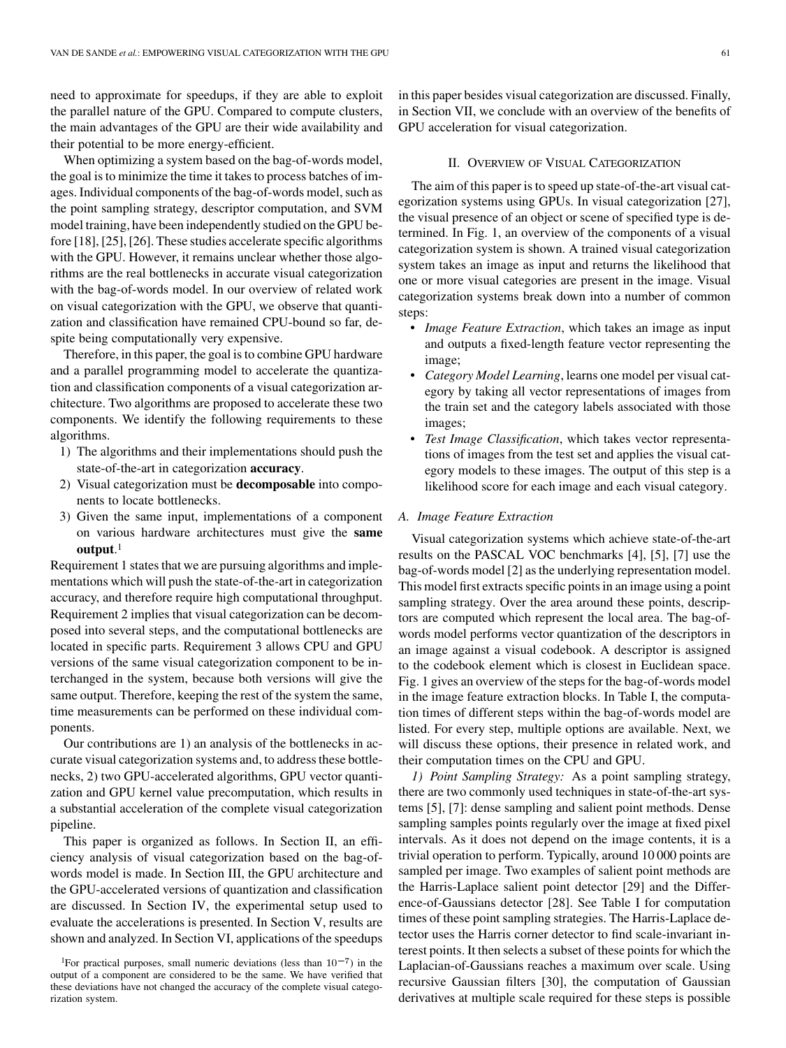need to approximate for speedups, if they are able to exploit the parallel nature of the GPU. Compared to compute clusters, the main advantages of the GPU are their wide availability and their potential to be more energy-efficient.

When optimizing a system based on the bag-of-words model, the goal is to minimize the time it takes to process batches of images. Individual components of the bag-of-words model, such as the point sampling strategy, descriptor computation, and SVM model training, have been independently studied on the GPU before [18], [25], [26]. These studies accelerate specific algorithms with the GPU. However, it remains unclear whether those algorithms are the real bottlenecks in accurate visual categorization with the bag-of-words model. In our overview of related work on visual categorization with the GPU, we observe that quantization and classification have remained CPU-bound so far, despite being computationally very expensive.

Therefore, in this paper, the goal is to combine GPU hardware and a parallel programming model to accelerate the quantization and classification components of a visual categorization architecture. Two algorithms are proposed to accelerate these two components. We identify the following requirements to these algorithms.

- 1) The algorithms and their implementations should push the state-of-the-art in categorization **accuracy**.
- 2) Visual categorization must be **decomposable** into components to locate bottlenecks.
- 3) Given the same input, implementations of a component on various hardware architectures must give the **same output**.1

Requirement 1 states that we are pursuing algorithms and implementations which will push the state-of-the-art in categorization accuracy, and therefore require high computational throughput. Requirement 2 implies that visual categorization can be decomposed into several steps, and the computational bottlenecks are located in specific parts. Requirement 3 allows CPU and GPU versions of the same visual categorization component to be interchanged in the system, because both versions will give the same output. Therefore, keeping the rest of the system the same, time measurements can be performed on these individual components.

Our contributions are 1) an analysis of the bottlenecks in accurate visual categorization systems and, to address these bottlenecks, 2) two GPU-accelerated algorithms, GPU vector quantization and GPU kernel value precomputation, which results in a substantial acceleration of the complete visual categorization pipeline.

This paper is organized as follows. In Section II, an efficiency analysis of visual categorization based on the bag-ofwords model is made. In Section III, the GPU architecture and the GPU-accelerated versions of quantization and classification are discussed. In Section IV, the experimental setup used to evaluate the accelerations is presented. In Section V, results are shown and analyzed. In Section VI, applications of the speedups

in this paper besides visual categorization are discussed. Finally, in Section VII, we conclude with an overview of the benefits of GPU acceleration for visual categorization.

#### II. OVERVIEW OF VISUAL CATEGORIZATION

The aim of this paper is to speed up state-of-the-art visual categorization systems using GPUs. In visual categorization [27], the visual presence of an object or scene of specified type is determined. In Fig. 1, an overview of the components of a visual categorization system is shown. A trained visual categorization system takes an image as input and returns the likelihood that one or more visual categories are present in the image. Visual categorization systems break down into a number of common steps:

- *Image Feature Extraction*, which takes an image as input and outputs a fixed-length feature vector representing the image;
- *Category Model Learning*, learns one model per visual category by taking all vector representations of images from the train set and the category labels associated with those images;
- *Test Image Classification*, which takes vector representations of images from the test set and applies the visual category models to these images. The output of this step is a likelihood score for each image and each visual category.

## *A. Image Feature Extraction*

Visual categorization systems which achieve state-of-the-art results on the PASCAL VOC benchmarks [4], [5], [7] use the bag-of-words model [2] as the underlying representation model. This model first extracts specific points in an image using a point sampling strategy. Over the area around these points, descriptors are computed which represent the local area. The bag-ofwords model performs vector quantization of the descriptors in an image against a visual codebook. A descriptor is assigned to the codebook element which is closest in Euclidean space. Fig. 1 gives an overview of the steps for the bag-of-words model in the image feature extraction blocks. In Table I, the computation times of different steps within the bag-of-words model are listed. For every step, multiple options are available. Next, we will discuss these options, their presence in related work, and their computation times on the CPU and GPU.

*1) Point Sampling Strategy:* As a point sampling strategy, there are two commonly used techniques in state-of-the-art systems [5], [7]: dense sampling and salient point methods. Dense sampling samples points regularly over the image at fixed pixel intervals. As it does not depend on the image contents, it is a trivial operation to perform. Typically, around 10 000 points are sampled per image. Two examples of salient point methods are the Harris-Laplace salient point detector [29] and the Difference-of-Gaussians detector [28]. See Table I for computation times of these point sampling strategies. The Harris-Laplace detector uses the Harris corner detector to find scale-invariant interest points. It then selects a subset of these points for which the Laplacian-of-Gaussians reaches a maximum over scale. Using recursive Gaussian filters [30], the computation of Gaussian derivatives at multiple scale required for these steps is possible

<sup>&</sup>lt;sup>1</sup>For practical purposes, small numeric deviations (less than  $10^{-7}$ ) in the output of a component are considered to be the same. We have verified that these deviations have not changed the accuracy of the complete visual categorization system.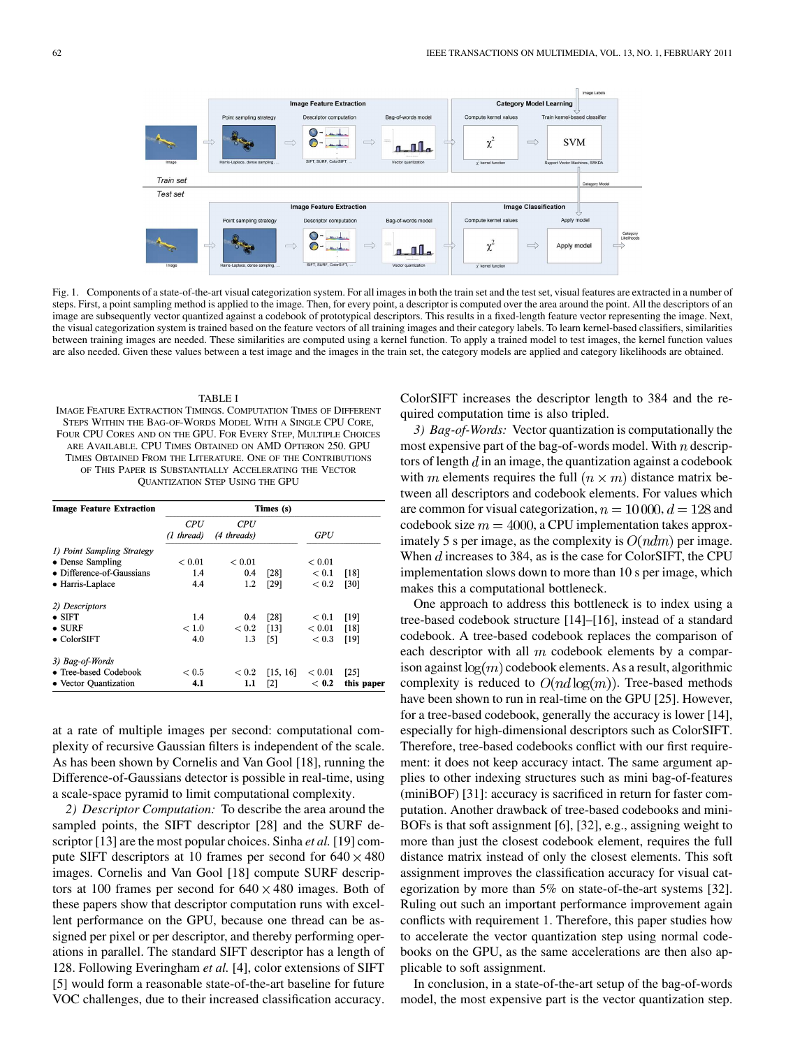

Fig. 1. Components of a state-of-the-art visual categorization system. For all images in both the train set and the test set, visual features are extracted in a number of steps. First, a point sampling method is applied to the image. Then, for every point, a descriptor is computed over the area around the point. All the descriptors of an image are subsequently vector quantized against a codebook of prototypical descriptors. This results in a fixed-length feature vector representing the image. Next, the visual categorization system is trained based on the feature vectors of all training images and their category labels. To learn kernel-based classifiers, similarities between training images are needed. These similarities are computed using a kernel function. To apply a trained model to test images, the kernel function values are also needed. Given these values between a test image and the images in the train set, the category models are applied and category likelihoods are obtained.

## TABLE I

IMAGE FEATURE EXTRACTION TIMINGS. COMPUTATION TIMES OF DIFFERENT STEPS WITHIN THE BAG-OF-WORDS MODEL WITH A SINGLE CPU CORE, FOUR CPU CORES AND ON THE GPU. FOR EVERY STEP, MULTIPLE CHOICES ARE AVAILABLE. CPU TIMES OBTAINED ON AMD OPTERON 250. GPU TIMES OBTAINED FROM THE LITERATURE. ONE OF THE CONTRIBUTIONS OF THIS PAPER IS SUBSTANTIALLY ACCELERATING THE VECTOR QUANTIZATION STEP USING THE GPU

| <b>Image Feature Extraction</b> | Times (s)     |             |                   |               |            |  |  |
|---------------------------------|---------------|-------------|-------------------|---------------|------------|--|--|
|                                 | <i>CPU</i>    | <b>CPU</b>  |                   |               |            |  |  |
|                                 | (1 thread)    | (4 threads) |                   | GPU           |            |  |  |
| 1) Point Sampling Strategy      |               |             |                   |               |            |  |  |
| • Dense Sampling                | ${}_{< 0.01}$ | ${}_{0.01}$ |                   | ${}_{< 0.01}$ |            |  |  |
| • Difference-of-Gaussians       | 1.4           | 0.4         | [28]              | < 0.1         | [18]       |  |  |
| • Harris-Laplace                | 4.4           | 1.2         | [29]              | < 0.2         | [30]       |  |  |
| 2) Descriptors                  |               |             |                   |               |            |  |  |
| $\bullet$ SIFT                  | 1.4           | 0.4         | [28]              | < 0.1         | $[19]$     |  |  |
| $\bullet$ SURF                  | < 1.0         | < 0.2       | [13]              | < 0.01        | [18]       |  |  |
| $\bullet$ ColorSIFT             | 4.0           | 1.3         | [5]               | < 0.3         | [19]       |  |  |
| 3) Bag-of-Words                 |               |             |                   |               |            |  |  |
| • Tree-based Codebook           | < 0.5         | < 0.2       | [15, 16]          | < 0.01        | [25]       |  |  |
| • Vector Quantization           | 4.1           | 1.1         | $\lceil 2 \rceil$ | < 0.2         | this paper |  |  |

at a rate of multiple images per second: computational complexity of recursive Gaussian filters is independent of the scale. As has been shown by Cornelis and Van Gool [18], running the Difference-of-Gaussians detector is possible in real-time, using a scale-space pyramid to limit computational complexity.

*2) Descriptor Computation:* To describe the area around the sampled points, the SIFT descriptor [28] and the SURF descriptor [13] are the most popular choices. Sinha *et al.* [19] compute SIFT descriptors at 10 frames per second for  $640 \times 480$ images. Cornelis and Van Gool [18] compute SURF descriptors at 100 frames per second for  $640 \times 480$  images. Both of these papers show that descriptor computation runs with excellent performance on the GPU, because one thread can be assigned per pixel or per descriptor, and thereby performing operations in parallel. The standard SIFT descriptor has a length of 128. Following Everingham *et al.* [4], color extensions of SIFT [5] would form a reasonable state-of-the-art baseline for future VOC challenges, due to their increased classification accuracy.

ColorSIFT increases the descriptor length to 384 and the required computation time is also tripled.

*3) Bag-of-Words:* Vector quantization is computationally the most expensive part of the bag-of-words model. With  $n$  descriptors of length  $d$  in an image, the quantization against a codebook with m elements requires the full  $(n \times m)$  distance matrix between all descriptors and codebook elements. For values which are common for visual categorization,  $n = 10000, d = 128$  and codebook size  $m = 4000$ , a CPU implementation takes approximately 5 s per image, as the complexity is  $O(ndm)$  per image. When  $d$  increases to 384, as is the case for ColorSIFT, the CPU implementation slows down to more than 10 s per image, which makes this a computational bottleneck.

One approach to address this bottleneck is to index using a tree-based codebook structure [14]–[16], instead of a standard codebook. A tree-based codebook replaces the comparison of each descriptor with all  $m$  codebook elements by a comparison against  $\log(m)$  codebook elements. As a result, algorithmic complexity is reduced to  $O(nd \log(m))$ . Tree-based methods have been shown to run in real-time on the GPU [25]. However, for a tree-based codebook, generally the accuracy is lower [14], especially for high-dimensional descriptors such as ColorSIFT. Therefore, tree-based codebooks conflict with our first requirement: it does not keep accuracy intact. The same argument applies to other indexing structures such as mini bag-of-features (miniBOF) [31]: accuracy is sacrificed in return for faster computation. Another drawback of tree-based codebooks and mini-BOFs is that soft assignment [6], [32], e.g., assigning weight to more than just the closest codebook element, requires the full distance matrix instead of only the closest elements. This soft assignment improves the classification accuracy for visual categorization by more than 5% on state-of-the-art systems [32]. Ruling out such an important performance improvement again conflicts with requirement 1. Therefore, this paper studies how to accelerate the vector quantization step using normal codebooks on the GPU, as the same accelerations are then also applicable to soft assignment.

In conclusion, in a state-of-the-art setup of the bag-of-words model, the most expensive part is the vector quantization step.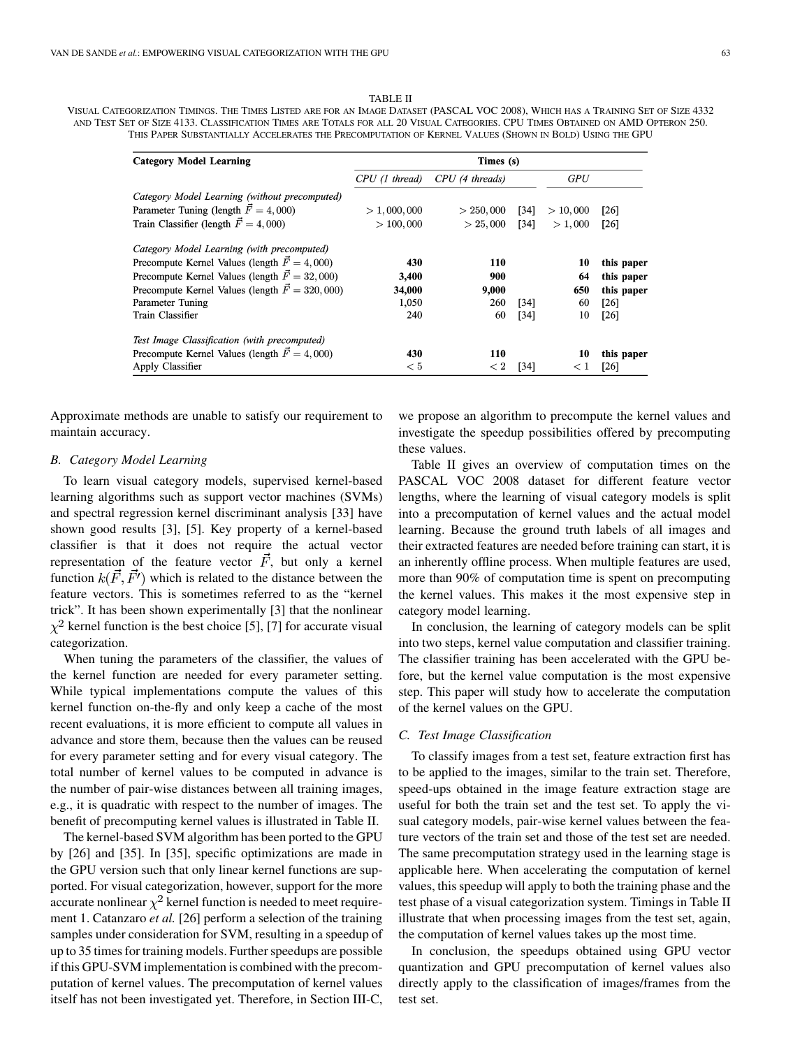TABLE II

VISUAL CATEGORIZATION TIMINGS. THE TIMES LISTED ARE FOR AN IMAGE DATASET (PASCAL VOC 2008), WHICH HAS A TRAINING SET OF SIZE 4332 AND TEST SET OF SIZE 4133. CLASSIFICATION TIMES ARE TOTALS FOR ALL 20 VISUAL CATEGORIES. CPU TIMES OBTAINED ON AMD OPTERON 250. THIS PAPER SUBSTANTIALLY ACCELERATES THE PRECOMPUTATION OF KERNEL VALUES (SHOWN IN BOLD) USING THE GPU

| <b>Category Model Learning</b>                         | Times (s)      |                 |        |          |            |  |  |  |
|--------------------------------------------------------|----------------|-----------------|--------|----------|------------|--|--|--|
|                                                        | CPU (1 thread) | CPU (4 threads) |        | GPU      |            |  |  |  |
| Category Model Learning (without precomputed)          |                |                 |        |          |            |  |  |  |
| Parameter Tuning (length $\vec{F} = 4,000$ )           | > 1,000,000    | > 250,000       | $[34]$ | > 10,000 | [26]       |  |  |  |
| Train Classifier (length $\vec{F} = 4,000$ )           | > 100,000      | > 25,000        | $[34]$ | > 1,000  | [26]       |  |  |  |
| Category Model Learning (with precomputed)             |                |                 |        |          |            |  |  |  |
| Precompute Kernel Values (length $\vec{F} = 4,000$ )   | 430            | 110             |        | 10       | this paper |  |  |  |
| Precompute Kernel Values (length $\vec{F} = 32,000$ )  | 3,400          | 900             |        | 64       | this paper |  |  |  |
| Precompute Kernel Values (length $\vec{F} = 320,000$ ) | 34,000         | 9.000           |        | 650      | this paper |  |  |  |
| Parameter Tuning                                       | 1,050          | 260             | [34]   | 60       | [26]       |  |  |  |
| Train Classifier                                       | 240            | 60              | $[34]$ | 10       | [26]       |  |  |  |
| Test Image Classification (with precomputed)           |                |                 |        |          |            |  |  |  |
| Precompute Kernel Values (length $\vec{F} = 4,000$ )   | 430            | 110             |        | 10       | this paper |  |  |  |
| Apply Classifier                                       | < 5            | < 2             | [34]   | $\leq 1$ | [26]       |  |  |  |

Approximate methods are unable to satisfy our requirement to maintain accuracy.

#### *B. Category Model Learning*

To learn visual category models, supervised kernel-based learning algorithms such as support vector machines (SVMs) and spectral regression kernel discriminant analysis [33] have shown good results [3], [5]. Key property of a kernel-based classifier is that it does not require the actual vector representation of the feature vector  $\vec{F}$ , but only a kernel function  $k(\vec{F}, \vec{F'})$  which is related to the distance between the feature vectors. This is sometimes referred to as the "kernel trick". It has been shown experimentally [3] that the nonlinear  $\chi^2$  kernel function is the best choice [5], [7] for accurate visual categorization.

When tuning the parameters of the classifier, the values of the kernel function are needed for every parameter setting. While typical implementations compute the values of this kernel function on-the-fly and only keep a cache of the most recent evaluations, it is more efficient to compute all values in advance and store them, because then the values can be reused for every parameter setting and for every visual category. The total number of kernel values to be computed in advance is the number of pair-wise distances between all training images, e.g., it is quadratic with respect to the number of images. The benefit of precomputing kernel values is illustrated in Table II.

The kernel-based SVM algorithm has been ported to the GPU by [26] and [35]. In [35], specific optimizations are made in the GPU version such that only linear kernel functions are supported. For visual categorization, however, support for the more accurate nonlinear  $\chi^2$  kernel function is needed to meet requirement 1. Catanzaro *et al.* [26] perform a selection of the training samples under consideration for SVM, resulting in a speedup of up to 35 times for training models. Further speedups are possible if this GPU-SVM implementation is combined with the precomputation of kernel values. The precomputation of kernel values itself has not been investigated yet. Therefore, in Section III-C,

we propose an algorithm to precompute the kernel values and investigate the speedup possibilities offered by precomputing these values.

Table II gives an overview of computation times on the PASCAL VOC 2008 dataset for different feature vector lengths, where the learning of visual category models is split into a precomputation of kernel values and the actual model learning. Because the ground truth labels of all images and their extracted features are needed before training can start, it is an inherently offline process. When multiple features are used, more than 90% of computation time is spent on precomputing the kernel values. This makes it the most expensive step in category model learning.

In conclusion, the learning of category models can be split into two steps, kernel value computation and classifier training. The classifier training has been accelerated with the GPU before, but the kernel value computation is the most expensive step. This paper will study how to accelerate the computation of the kernel values on the GPU.

#### *C. Test Image Classification*

To classify images from a test set, feature extraction first has to be applied to the images, similar to the train set. Therefore, speed-ups obtained in the image feature extraction stage are useful for both the train set and the test set. To apply the visual category models, pair-wise kernel values between the feature vectors of the train set and those of the test set are needed. The same precomputation strategy used in the learning stage is applicable here. When accelerating the computation of kernel values, this speedup will apply to both the training phase and the test phase of a visual categorization system. Timings in Table II illustrate that when processing images from the test set, again, the computation of kernel values takes up the most time.

In conclusion, the speedups obtained using GPU vector quantization and GPU precomputation of kernel values also directly apply to the classification of images/frames from the test set.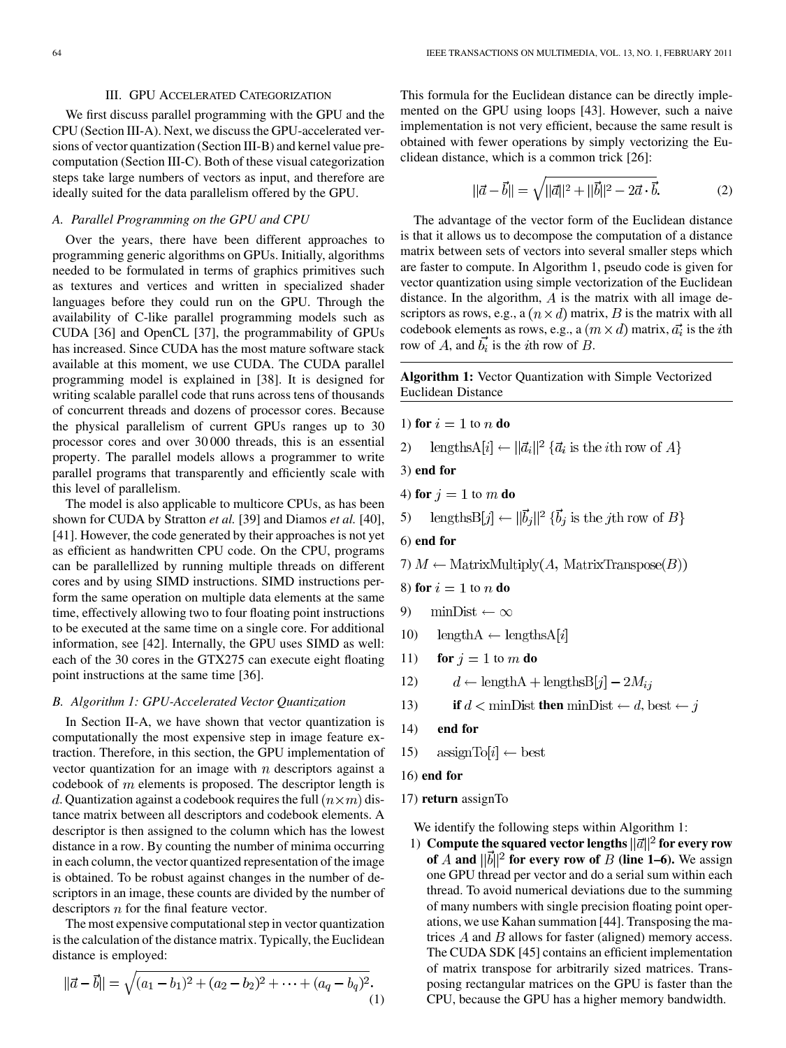#### III. GPU ACCELERATED CATEGORIZATION

We first discuss parallel programming with the GPU and the CPU (Section III-A). Next, we discuss the GPU-accelerated versions of vector quantization (Section III-B) and kernel value precomputation (Section III-C). Both of these visual categorization steps take large numbers of vectors as input, and therefore are ideally suited for the data parallelism offered by the GPU.

## *A. Parallel Programming on the GPU and CPU*

Over the years, there have been different approaches to programming generic algorithms on GPUs. Initially, algorithms needed to be formulated in terms of graphics primitives such as textures and vertices and written in specialized shader languages before they could run on the GPU. Through the availability of C-like parallel programming models such as CUDA [36] and OpenCL [37], the programmability of GPUs has increased. Since CUDA has the most mature software stack available at this moment, we use CUDA. The CUDA parallel programming model is explained in [38]. It is designed for writing scalable parallel code that runs across tens of thousands of concurrent threads and dozens of processor cores. Because the physical parallelism of current GPUs ranges up to 30 processor cores and over 30 000 threads, this is an essential property. The parallel models allows a programmer to write parallel programs that transparently and efficiently scale with this level of parallelism.

The model is also applicable to multicore CPUs, as has been shown for CUDA by Stratton *et al.* [39] and Diamos *et al.* [40], [41]. However, the code generated by their approaches is not yet as efficient as handwritten CPU code. On the CPU, programs can be parallellized by running multiple threads on different cores and by using SIMD instructions. SIMD instructions perform the same operation on multiple data elements at the same time, effectively allowing two to four floating point instructions to be executed at the same time on a single core. For additional information, see [42]. Internally, the GPU uses SIMD as well: each of the 30 cores in the GTX275 can execute eight floating point instructions at the same time [36].

## *B. Algorithm 1: GPU-Accelerated Vector Quantization*

In Section II-A, we have shown that vector quantization is computationally the most expensive step in image feature extraction. Therefore, in this section, the GPU implementation of vector quantization for an image with  $n$  descriptors against a codebook of  $m$  elements is proposed. The descriptor length is d. Quantization against a codebook requires the full  $(n \times m)$  distance matrix between all descriptors and codebook elements. A descriptor is then assigned to the column which has the lowest distance in a row. By counting the number of minima occurring in each column, the vector quantized representation of the image is obtained. To be robust against changes in the number of descriptors in an image, these counts are divided by the number of descriptors  $n$  for the final feature vector.

The most expensive computational step in vector quantization is the calculation of the distance matrix. Typically, the Euclidean distance is employed:

$$
\|\vec{a} - \vec{b}\| = \sqrt{(a_1 - b_1)^2 + (a_2 - b_2)^2 + \dots + (a_q - b_q)^2}.
$$
\n(1)

This formula for the Euclidean distance can be directly implemented on the GPU using loops [43]. However, such a naive implementation is not very efficient, because the same result is obtained with fewer operations by simply vectorizing the Euclidean distance, which is a common trick [26]:

$$
||\vec{a} - \vec{b}|| = \sqrt{||\vec{a}||^2 + ||\vec{b}||^2 - 2\vec{a} \cdot \vec{b}}.
$$
 (2)

The advantage of the vector form of the Euclidean distance is that it allows us to decompose the computation of a distance matrix between sets of vectors into several smaller steps which are faster to compute. In Algorithm 1, pseudo code is given for vector quantization using simple vectorization of the Euclidean distance. In the algorithm,  $A$  is the matrix with all image descriptors as rows, e.g., a  $(n \times d)$  matrix, B is the matrix with all codebook elements as rows, e.g., a  $(m \times d)$  matrix,  $\vec{a_i}$  is the *i*th row of A, and  $b_i$  is the *i*th row of B.

**Algorithm 1:** Vector Quantization with Simple Vectorized Euclidean Distance

1) for 
$$
i = 1
$$
 to n do

lengthsA[i]  $\leftarrow ||\vec{a}_i||^2 \{\vec{a}_i \text{ is the } i\text{th row of } A\}$ 2)

3) **end for**

4) for 
$$
j = 1
$$
 to m do

5) 
$$
lengthsB[j] \leftarrow ||b_j||^2 {\{b_j \text{ is the } j\text{th row of } B\}}
$$

6) **end for**

7)  $M \leftarrow$  MatrixMultiply(A, MatrixTranspose(B))

```
8) for i = 1 to n do
```
- $minDist \leftarrow \infty$ 9)
- length $A \leftarrow$  lengths $A[i]$ 10)
- 11) **for**  $j = 1$  to  $m$  **do**
- $d \leftarrow \text{lengthA} + \text{lengthsB}[j] 2M_{ij}$ 12)
- 13) **if**  $d < \text{minDist}$  **then**  $\text{minDist} \leftarrow d$ ,  $\text{best} \leftarrow j$
- 14) **end for**
- $\operatorname{assignTo}[i] \leftarrow \operatorname{best}$ 15)
- 16) **end for**
- 17) **return** assignTo

We identify the following steps within Algorithm 1:

1) **Compute the squared vector lengths**  $\|\vec{a}\|^2$  for every row of A and  $\|\vec{b}\|^2$  for every row of B (line 1–6). We assign one GPU thread per vector and do a serial sum within each thread. To avoid numerical deviations due to the summing of many numbers with single precision floating point operations, we use Kahan summation [44]. Transposing the matrices  $A$  and  $B$  allows for faster (aligned) memory access. The CUDA SDK [45] contains an efficient implementation of matrix transpose for arbitrarily sized matrices. Transposing rectangular matrices on the GPU is faster than the CPU, because the GPU has a higher memory bandwidth.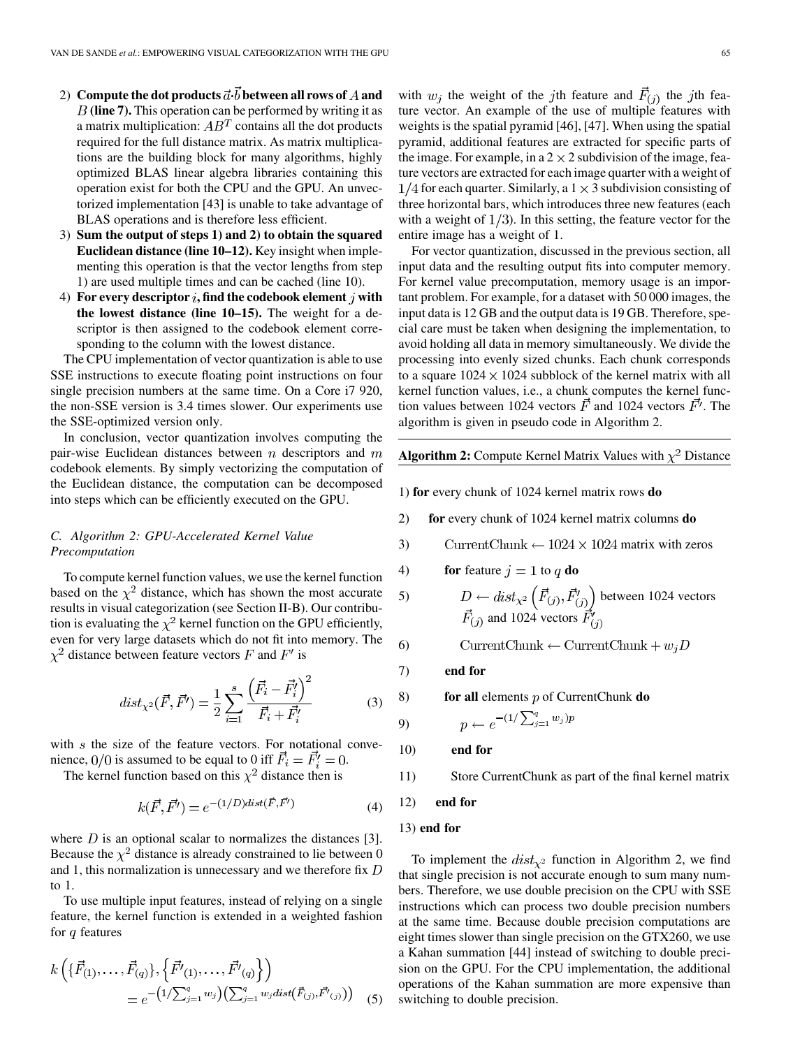- 2) Compute the dot products  $\vec{a} \cdot \vec{b}$  between all rows of A and **(line 7).** This operation can be performed by writing it as a matrix multiplication:  $AB<sup>T</sup>$  contains all the dot products required for the full distance matrix. As matrix multiplications are the building block for many algorithms, highly optimized BLAS linear algebra libraries containing this operation exist for both the CPU and the GPU. An unvectorized implementation [43] is unable to take advantage of BLAS operations and is therefore less efficient.
- 3) **Sum the output of steps 1) and 2) to obtain the squared Euclidean distance (line 10–12).** Key insight when implementing this operation is that the vector lengths from step 1) are used multiple times and can be cached (line 10).
- 4) For every descriptor  $i$ , find the codebook element  $j$  with **the lowest distance (line 10–15).** The weight for a descriptor is then assigned to the codebook element corresponding to the column with the lowest distance.

The CPU implementation of vector quantization is able to use SSE instructions to execute floating point instructions on four single precision numbers at the same time. On a Core i7 920, the non-SSE version is 3.4 times slower. Our experiments use the SSE-optimized version only.

In conclusion, vector quantization involves computing the pair-wise Euclidean distances between  $n$  descriptors and  $m$ codebook elements. By simply vectorizing the computation of the Euclidean distance, the computation can be decomposed into steps which can be efficiently executed on the GPU.

## *C. Algorithm 2: GPU-Accelerated Kernel Value Precomputation*

To compute kernel function values, we use the kernel function based on the  $\chi^2$  distance, which has shown the most accurate results in visual categorization (see Section II-B). Our contribution is evaluating the  $\chi^2$  kernel function on the GPU efficiently, even for very large datasets which do not fit into memory. The  $\chi^2$  distance between feature vectors F and F' is

$$
dist_{\chi^2}(\vec{F}, \vec{F'}) = \frac{1}{2} \sum_{i=1}^{s} \frac{\left(\vec{F}_i - \vec{F}_i'\right)^2}{\vec{F}_i + \vec{F}_i'}
$$
(3)

with  $s$  the size of the feature vectors. For notational convenience,  $0/0$  is assumed to be equal to 0 iff  $F_i = F'_i = 0$ .

The kernel function based on this  $\chi^2$  distance then is

$$
k(\vec{F}, \vec{F'}) = e^{-(1/D)dist(\vec{F}, \vec{F'})}
$$
(4)

where  $D$  is an optional scalar to normalizes the distances [3]. Because the  $\chi^2$  distance is already constrained to lie between 0 and 1, this normalization is unnecessary and we therefore fix  $D$ to 1.

To use multiple input features, instead of relying on a single feature, the kernel function is extended in a weighted fashion for  $q$  features

$$
k\left(\{\vec{F}_{(1)},\ldots,\vec{F}_{(q)}\},\{\vec{F'}_{(1)},\ldots,\vec{F'}_{(q)}\}\right) \\
= e^{-\left(1/\sum_{j=1}^{q}w_{j}\right)\left(\sum_{j=1}^{q}w_{j}dist(\vec{F}_{(j)},\vec{F'}_{(j)})\right)}\tag{5}
$$

with  $w_i$  the weight of the jth feature and  $\vec{F}_{(i)}$  the jth feature vector. An example of the use of multiple features with weights is the spatial pyramid [46], [47]. When using the spatial pyramid, additional features are extracted for specific parts of the image. For example, in a  $2 \times 2$  subdivision of the image, feature vectors are extracted for each image quarter with a weight of  $1/4$  for each quarter. Similarly, a  $1 \times 3$  subdivision consisting of three horizontal bars, which introduces three new features (each with a weight of  $1/3$ ). In this setting, the feature vector for the entire image has a weight of 1.

For vector quantization, discussed in the previous section, all input data and the resulting output fits into computer memory. For kernel value precomputation, memory usage is an important problem. For example, for a dataset with 50 000 images, the input data is 12 GB and the output data is 19 GB. Therefore, special care must be taken when designing the implementation, to avoid holding all data in memory simultaneously. We divide the processing into evenly sized chunks. Each chunk corresponds to a square  $1024 \times 1024$  subblock of the kernel matrix with all kernel function values, i.e., a chunk computes the kernel function values between 1024 vectors  $\vec{F}$  and 1024 vectors  $\vec{F'}$ . The algorithm is given in pseudo code in Algorithm 2.

# **Algorithm 2:** Compute Kernel Matrix Values with  $\chi^2$  Distance

1) **for** every chunk of 1024 kernel matrix rows **do**

- 2) **for** every chunk of 1024 kernel matrix columns **do**
- 3) Current Chunk  $\leftarrow$  1024  $\times$  1024 matrix with zeros

4) **for** feature 
$$
j = 1
$$
 to q **do**

5) 
$$
D \leftarrow dist_{\chi^2} \left( \vec{F}_{(j)}, \vec{F}_{(j)}' \right) \text{ between 1024 vectors}
$$

$$
\vec{F}_{(j)} \text{ and 1024 vectors } \vec{F}_{(j)}'
$$

$$
CurrentChunk \leftarrow CurrentChunk + w_iD
$$

7) **end for**

6)

9)

8) **for all** elements 
$$
p
$$
 of CurrentChunk **do**

$$
p \leftarrow e^{-(1/\sum_{j=1}^{q} w_j)p}
$$

10) **end for**

11) Store CurrentChunk as part of the final kernel matrix

12) **end for**

## 13) **end for**

To implement the  $dist_{\chi^2}$  function in Algorithm 2, we find that single precision is not accurate enough to sum many numbers. Therefore, we use double precision on the CPU with SSE instructions which can process two double precision numbers at the same time. Because double precision computations are eight times slower than single precision on the GTX260, we use a Kahan summation [44] instead of switching to double precision on the GPU. For the CPU implementation, the additional operations of the Kahan summation are more expensive than switching to double precision.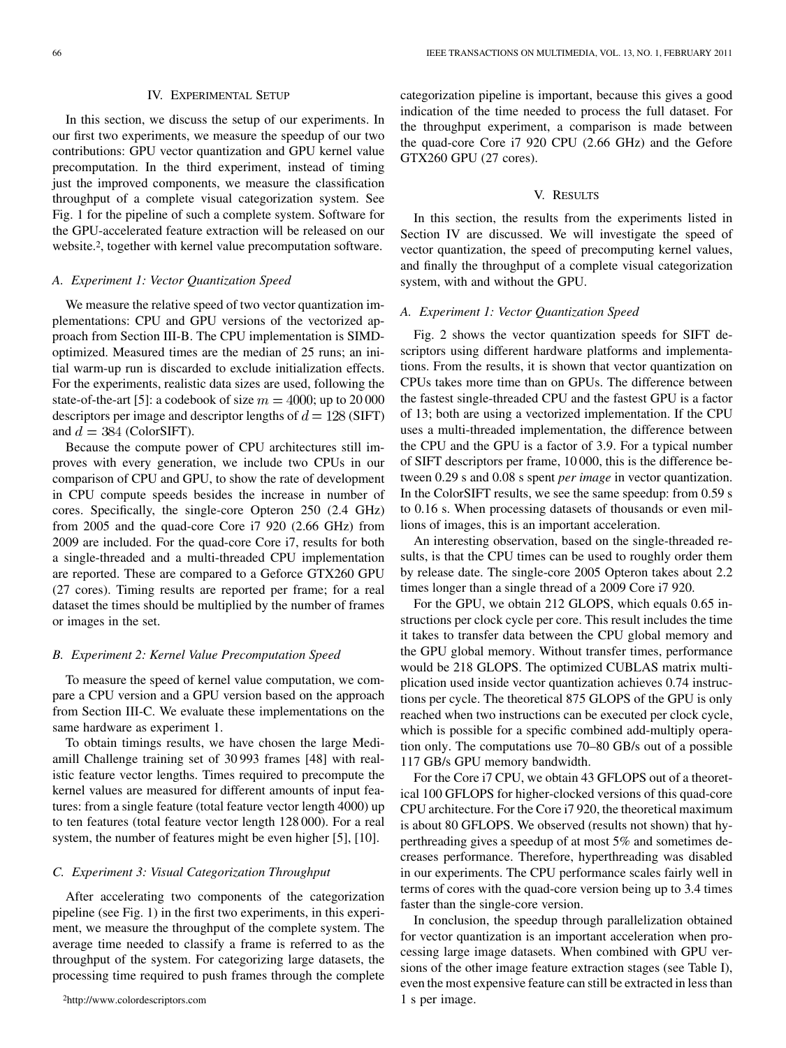#### IV. EXPERIMENTAL SETUP

In this section, we discuss the setup of our experiments. In our first two experiments, we measure the speedup of our two contributions: GPU vector quantization and GPU kernel value precomputation. In the third experiment, instead of timing just the improved components, we measure the classification throughput of a complete visual categorization system. See Fig. 1 for the pipeline of such a complete system. Software for the GPU-accelerated feature extraction will be released on our website.<sup>2</sup>, together with kernel value precomputation software.

#### *A. Experiment 1: Vector Quantization Speed*

We measure the relative speed of two vector quantization implementations: CPU and GPU versions of the vectorized approach from Section III-B. The CPU implementation is SIMDoptimized. Measured times are the median of 25 runs; an initial warm-up run is discarded to exclude initialization effects. For the experiments, realistic data sizes are used, following the state-of-the-art [5]: a codebook of size  $m = 4000$ ; up to 20 000 descriptors per image and descriptor lengths of  $d = 128$  (SIFT) and  $d = 384$  (ColorSIFT).

Because the compute power of CPU architectures still improves with every generation, we include two CPUs in our comparison of CPU and GPU, to show the rate of development in CPU compute speeds besides the increase in number of cores. Specifically, the single-core Opteron 250 (2.4 GHz) from 2005 and the quad-core Core i7 920 (2.66 GHz) from 2009 are included. For the quad-core Core i7, results for both a single-threaded and a multi-threaded CPU implementation are reported. These are compared to a Geforce GTX260 GPU (27 cores). Timing results are reported per frame; for a real dataset the times should be multiplied by the number of frames or images in the set.

#### *B. Experiment 2: Kernel Value Precomputation Speed*

To measure the speed of kernel value computation, we compare a CPU version and a GPU version based on the approach from Section III-C. We evaluate these implementations on the same hardware as experiment 1.

To obtain timings results, we have chosen the large Mediamill Challenge training set of 30 993 frames [48] with realistic feature vector lengths. Times required to precompute the kernel values are measured for different amounts of input features: from a single feature (total feature vector length 4000) up to ten features (total feature vector length 128 000). For a real system, the number of features might be even higher [5], [10].

#### *C. Experiment 3: Visual Categorization Throughput*

After accelerating two components of the categorization pipeline (see Fig. 1) in the first two experiments, in this experiment, we measure the throughput of the complete system. The average time needed to classify a frame is referred to as the throughput of the system. For categorizing large datasets, the processing time required to push frames through the complete categorization pipeline is important, because this gives a good indication of the time needed to process the full dataset. For the throughput experiment, a comparison is made between the quad-core Core i7 920 CPU (2.66 GHz) and the Gefore GTX260 GPU (27 cores).

## V. RESULTS

In this section, the results from the experiments listed in Section IV are discussed. We will investigate the speed of vector quantization, the speed of precomputing kernel values, and finally the throughput of a complete visual categorization system, with and without the GPU.

## *A. Experiment 1: Vector Quantization Speed*

Fig. 2 shows the vector quantization speeds for SIFT descriptors using different hardware platforms and implementations. From the results, it is shown that vector quantization on CPUs takes more time than on GPUs. The difference between the fastest single-threaded CPU and the fastest GPU is a factor of 13; both are using a vectorized implementation. If the CPU uses a multi-threaded implementation, the difference between the CPU and the GPU is a factor of 3.9. For a typical number of SIFT descriptors per frame, 10 000, this is the difference between 0.29 s and 0.08 s spent *per image* in vector quantization. In the ColorSIFT results, we see the same speedup: from 0.59 s to 0.16 s. When processing datasets of thousands or even millions of images, this is an important acceleration.

An interesting observation, based on the single-threaded results, is that the CPU times can be used to roughly order them by release date. The single-core 2005 Opteron takes about 2.2 times longer than a single thread of a 2009 Core i7 920.

For the GPU, we obtain 212 GLOPS, which equals 0.65 instructions per clock cycle per core. This result includes the time it takes to transfer data between the CPU global memory and the GPU global memory. Without transfer times, performance would be 218 GLOPS. The optimized CUBLAS matrix multiplication used inside vector quantization achieves 0.74 instructions per cycle. The theoretical 875 GLOPS of the GPU is only reached when two instructions can be executed per clock cycle, which is possible for a specific combined add-multiply operation only. The computations use 70–80 GB/s out of a possible 117 GB/s GPU memory bandwidth.

For the Core i7 CPU, we obtain 43 GFLOPS out of a theoretical 100 GFLOPS for higher-clocked versions of this quad-core CPU architecture. For the Core i7 920, the theoretical maximum is about 80 GFLOPS. We observed (results not shown) that hyperthreading gives a speedup of at most 5% and sometimes decreases performance. Therefore, hyperthreading was disabled in our experiments. The CPU performance scales fairly well in terms of cores with the quad-core version being up to 3.4 times faster than the single-core version.

In conclusion, the speedup through parallelization obtained for vector quantization is an important acceleration when processing large image datasets. When combined with GPU versions of the other image feature extraction stages (see Table I), even the most expensive feature can still be extracted in less than 1 s per image.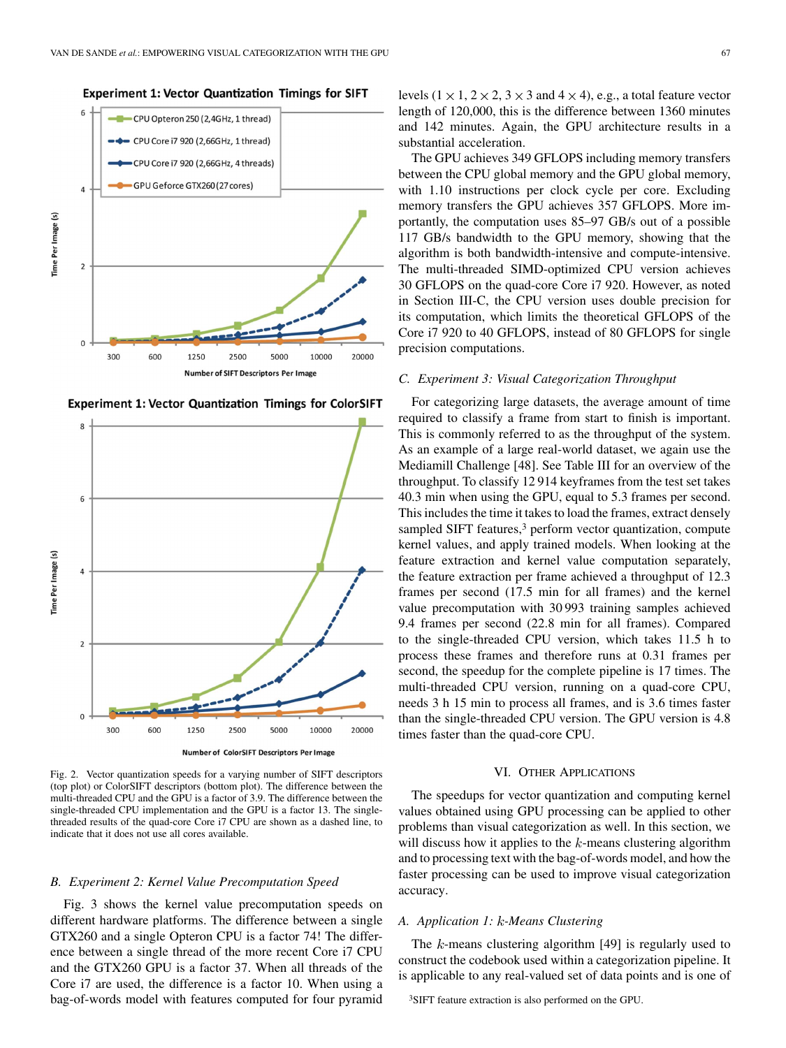

**Experiment 1: Vector Quantization Timings for ColorSIFT** 



Fig. 2. Vector quantization speeds for a varying number of SIFT descriptors (top plot) or ColorSIFT descriptors (bottom plot). The difference between the multi-threaded CPU and the GPU is a factor of 3.9. The difference between the single-threaded CPU implementation and the GPU is a factor 13. The singlethreaded results of the quad-core Core i7 CPU are shown as a dashed line, to indicate that it does not use all cores available.

## *B. Experiment 2: Kernel Value Precomputation Speed*

Fig. 3 shows the kernel value precomputation speeds on different hardware platforms. The difference between a single GTX260 and a single Opteron CPU is a factor 74! The difference between a single thread of the more recent Core i7 CPU and the GTX260 GPU is a factor 37. When all threads of the Core i7 are used, the difference is a factor 10. When using a bag-of-words model with features computed for four pyramid

levels  $(1 \times 1, 2 \times 2, 3 \times 3$  and  $4 \times 4)$ , e.g., a total feature vector length of 120,000, this is the difference between 1360 minutes and 142 minutes. Again, the GPU architecture results in a substantial acceleration.

The GPU achieves 349 GFLOPS including memory transfers between the CPU global memory and the GPU global memory, with 1.10 instructions per clock cycle per core. Excluding memory transfers the GPU achieves 357 GFLOPS. More importantly, the computation uses 85–97 GB/s out of a possible 117 GB/s bandwidth to the GPU memory, showing that the algorithm is both bandwidth-intensive and compute-intensive. The multi-threaded SIMD-optimized CPU version achieves 30 GFLOPS on the quad-core Core i7 920. However, as noted in Section III-C, the CPU version uses double precision for its computation, which limits the theoretical GFLOPS of the Core i7 920 to 40 GFLOPS, instead of 80 GFLOPS for single precision computations.

## *C. Experiment 3: Visual Categorization Throughput*

For categorizing large datasets, the average amount of time required to classify a frame from start to finish is important. This is commonly referred to as the throughput of the system. As an example of a large real-world dataset, we again use the Mediamill Challenge [48]. See Table III for an overview of the throughput. To classify 12 914 keyframes from the test set takes 40.3 min when using the GPU, equal to 5.3 frames per second. This includes the time it takes to load the frames, extract densely sampled SIFT features,<sup>3</sup> perform vector quantization, compute kernel values, and apply trained models. When looking at the feature extraction and kernel value computation separately, the feature extraction per frame achieved a throughput of 12.3 frames per second (17.5 min for all frames) and the kernel value precomputation with 30 993 training samples achieved 9.4 frames per second (22.8 min for all frames). Compared to the single-threaded CPU version, which takes 11.5 h to process these frames and therefore runs at 0.31 frames per second, the speedup for the complete pipeline is 17 times. The multi-threaded CPU version, running on a quad-core CPU, needs 3 h 15 min to process all frames, and is 3.6 times faster than the single-threaded CPU version. The GPU version is 4.8 times faster than the quad-core CPU.

## VI. OTHER APPLICATIONS

The speedups for vector quantization and computing kernel values obtained using GPU processing can be applied to other problems than visual categorization as well. In this section, we will discuss how it applies to the  $k$ -means clustering algorithm and to processing text with the bag-of-words model, and how the faster processing can be used to improve visual categorization accuracy.

## *A. Application 1: -Means Clustering*

The  $k$ -means clustering algorithm [49] is regularly used to construct the codebook used within a categorization pipeline. It is applicable to any real-valued set of data points and is one of

3SIFT feature extraction is also performed on the GPU.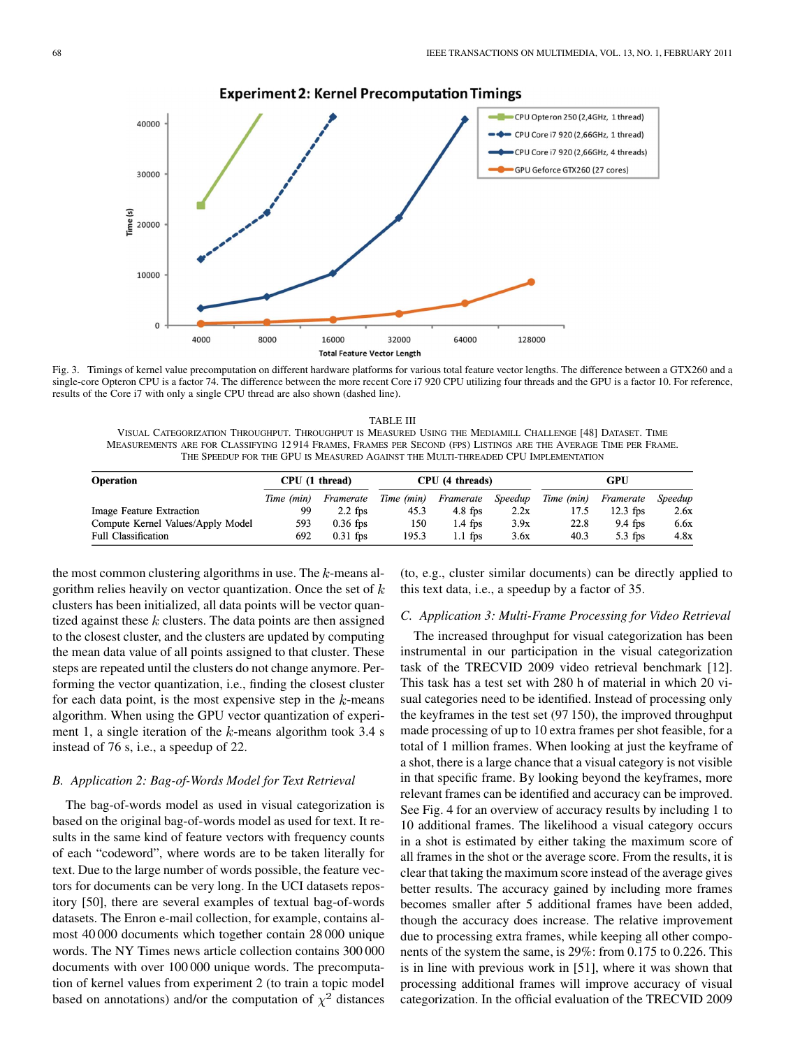

**Experiment 2: Kernel Precomputation Timings** 

Fig. 3. Timings of kernel value precomputation on different hardware platforms for various total feature vector lengths. The difference between a GTX260 and a single-core Opteron CPU is a factor 74. The difference between the more recent Core i7 920 CPU utilizing four threads and the GPU is a factor 10. For reference, results of the Core i7 with only a single CPU thread are also shown (dashed line).

TABLE III VISUAL CATEGORIZATION THROUGHPUT. THROUGHPUT IS MEASURED USING THE MEDIAMILL CHALLENGE [48] DATASET. TIME MEASUREMENTS ARE FOR CLASSIFYING 12 914 FRAMES, FRAMES PER SECOND (FPS) LISTINGS ARE THE AVERAGE TIME PER FRAME. THE SPEEDUP FOR THE GPU IS MEASURED AGAINST THE MULTI-THREADED CPU IMPLEMENTATION

| <b>Operation</b>                  | CPU (1 thread) |            | CPU (4 threads) |           |         | GPU        |            |         |
|-----------------------------------|----------------|------------|-----------------|-----------|---------|------------|------------|---------|
|                                   | Time (min)     | Framerate  | Time (min)      | Framerate | Speedup | Time (min) | Framerate  | Speedup |
| Image Feature Extraction          | 99             | $2.2$ fps  | 45.3            | $4.8$ fps | 2.2x    | 17.5       | $12.3$ fps | 2.6x    |
| Compute Kernel Values/Apply Model | 593            | $0.36$ fps | 150             | $1.4$ fps | 3.9x    | 22.8       | $9.4$ fps  | 6.6x    |
| <b>Full Classification</b>        | 692            | $0.31$ fps | 195.3           | $1.1$ fps | 3.6x    | 40.3       | $5.3$ fps  | 4.8x    |

the most common clustering algorithms in use. The  $k$ -means algorithm relies heavily on vector quantization. Once the set of  $k$ clusters has been initialized, all data points will be vector quantized against these  $k$  clusters. The data points are then assigned to the closest cluster, and the clusters are updated by computing the mean data value of all points assigned to that cluster. These steps are repeated until the clusters do not change anymore. Performing the vector quantization, i.e., finding the closest cluster for each data point, is the most expensive step in the  $k$ -means algorithm. When using the GPU vector quantization of experiment 1, a single iteration of the  $k$ -means algorithm took 3.4 s instead of 76 s, i.e., a speedup of 22.

#### *B. Application 2: Bag-of-Words Model for Text Retrieval*

The bag-of-words model as used in visual categorization is based on the original bag-of-words model as used for text. It results in the same kind of feature vectors with frequency counts of each "codeword", where words are to be taken literally for text. Due to the large number of words possible, the feature vectors for documents can be very long. In the UCI datasets repository [50], there are several examples of textual bag-of-words datasets. The Enron e-mail collection, for example, contains almost 40 000 documents which together contain 28 000 unique words. The NY Times news article collection contains 300 000 documents with over 100 000 unique words. The precomputation of kernel values from experiment 2 (to train a topic model based on annotations) and/or the computation of  $\chi^2$  distances (to, e.g., cluster similar documents) can be directly applied to this text data, i.e., a speedup by a factor of 35.

#### *C. Application 3: Multi-Frame Processing for Video Retrieval*

The increased throughput for visual categorization has been instrumental in our participation in the visual categorization task of the TRECVID 2009 video retrieval benchmark [12]. This task has a test set with 280 h of material in which 20 visual categories need to be identified. Instead of processing only the keyframes in the test set (97 150), the improved throughput made processing of up to 10 extra frames per shot feasible, for a total of 1 million frames. When looking at just the keyframe of a shot, there is a large chance that a visual category is not visible in that specific frame. By looking beyond the keyframes, more relevant frames can be identified and accuracy can be improved. See Fig. 4 for an overview of accuracy results by including 1 to 10 additional frames. The likelihood a visual category occurs in a shot is estimated by either taking the maximum score of all frames in the shot or the average score. From the results, it is clear that taking the maximum score instead of the average gives better results. The accuracy gained by including more frames becomes smaller after 5 additional frames have been added, though the accuracy does increase. The relative improvement due to processing extra frames, while keeping all other components of the system the same, is 29%: from 0.175 to 0.226. This is in line with previous work in [51], where it was shown that processing additional frames will improve accuracy of visual categorization. In the official evaluation of the TRECVID 2009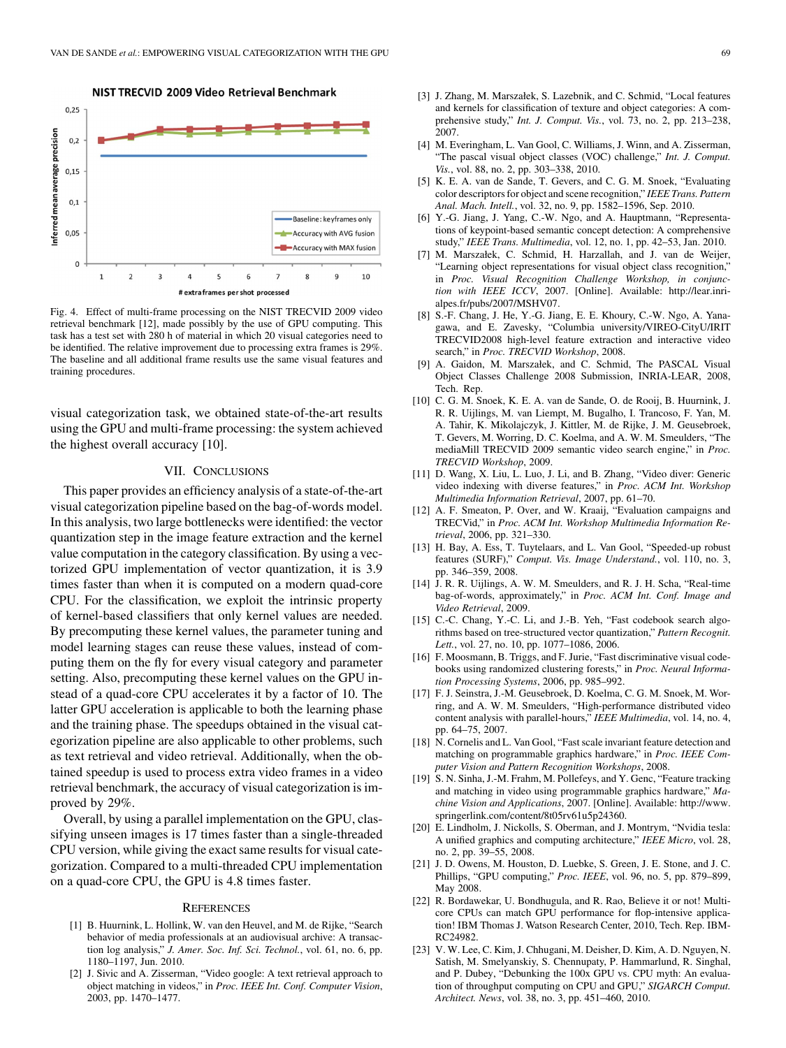

Fig. 4. Effect of multi-frame processing on the NIST TRECVID 2009 video retrieval benchmark [12], made possibly by the use of GPU computing. This task has a test set with 280 h of material in which 20 visual categories need to be identified. The relative improvement due to processing extra frames is 29%. The baseline and all additional frame results use the same visual features and training procedures.

visual categorization task, we obtained state-of-the-art results using the GPU and multi-frame processing: the system achieved the highest overall accuracy [10].

## VII. CONCLUSIONS

This paper provides an efficiency analysis of a state-of-the-art visual categorization pipeline based on the bag-of-words model. In this analysis, two large bottlenecks were identified: the vector quantization step in the image feature extraction and the kernel value computation in the category classification. By using a vectorized GPU implementation of vector quantization, it is 3.9 times faster than when it is computed on a modern quad-core CPU. For the classification, we exploit the intrinsic property of kernel-based classifiers that only kernel values are needed. By precomputing these kernel values, the parameter tuning and model learning stages can reuse these values, instead of computing them on the fly for every visual category and parameter setting. Also, precomputing these kernel values on the GPU instead of a quad-core CPU accelerates it by a factor of 10. The latter GPU acceleration is applicable to both the learning phase and the training phase. The speedups obtained in the visual categorization pipeline are also applicable to other problems, such as text retrieval and video retrieval. Additionally, when the obtained speedup is used to process extra video frames in a video retrieval benchmark, the accuracy of visual categorization is improved by 29%.

Overall, by using a parallel implementation on the GPU, classifying unseen images is 17 times faster than a single-threaded CPU version, while giving the exact same results for visual categorization. Compared to a multi-threaded CPU implementation on a quad-core CPU, the GPU is 4.8 times faster.

#### **REFERENCES**

- [1] B. Huurnink, L. Hollink, W. van den Heuvel, and M. de Rijke, "Search behavior of media professionals at an audiovisual archive: A transaction log analysis," *J. Amer. Soc. Inf. Sci. Technol.*, vol. 61, no. 6, pp. 1180–1197, Jun. 2010.
- [2] J. Sivic and A. Zisserman, "Video google: A text retrieval approach to object matching in videos," in *Proc. IEEE Int. Conf. Computer Vision*, 2003, pp. 1470–1477.
- [3] J. Zhang, M. Marszałek, S. Lazebnik, and C. Schmid, "Local features and kernels for classification of texture and object categories: A comprehensive study," *Int. J. Comput. Vis.*, vol. 73, no. 2, pp. 213–238, 2007.
- [4] M. Everingham, L. Van Gool, C. Williams, J. Winn, and A. Zisserman, "The pascal visual object classes (VOC) challenge," *Int. J. Comput. Vis.*, vol. 88, no. 2, pp. 303–338, 2010.
- [5] K. E. A. van de Sande, T. Gevers, and C. G. M. Snoek, "Evaluating color descriptors for object and scene recognition," *IEEE Trans. Pattern Anal. Mach. Intell.*, vol. 32, no. 9, pp. 1582–1596, Sep. 2010.
- [6] Y.-G. Jiang, J. Yang, C.-W. Ngo, and A. Hauptmann, "Representations of keypoint-based semantic concept detection: A comprehensive study," *IEEE Trans. Multimedia*, vol. 12, no. 1, pp. 42–53, Jan. 2010.
- [7] M. Marszałek, C. Schmid, H. Harzallah, and J. van de Weijer, "Learning object representations for visual object class recognition," in *Proc. Visual Recognition Challenge Workshop, in conjunction with IEEE ICCV*, 2007. [Online]. Available: http://lear.inrialpes.fr/pubs/2007/MSHV07.
- [8] S.-F. Chang, J. He, Y.-G. Jiang, E. E. Khoury, C.-W. Ngo, A. Yanagawa, and E. Zavesky, "Columbia university/VIREO-CityU/IRIT TRECVID2008 high-level feature extraction and interactive video search," in *Proc. TRECVID Workshop*, 2008.
- [9] A. Gaidon, M. Marszałek, and C. Schmid, The PASCAL Visual Object Classes Challenge 2008 Submission, INRIA-LEAR, 2008, Tech. Rep.
- [10] C. G. M. Snoek, K. E. A. van de Sande, O. de Rooij, B. Huurnink, J. R. R. Uijlings, M. van Liempt, M. Bugalho, I. Trancoso, F. Yan, M. A. Tahir, K. Mikolajczyk, J. Kittler, M. de Rijke, J. M. Geusebroek, T. Gevers, M. Worring, D. C. Koelma, and A. W. M. Smeulders, "The mediaMill TRECVID 2009 semantic video search engine," in *Proc. TRECVID Workshop*, 2009.
- [11] D. Wang, X. Liu, L. Luo, J. Li, and B. Zhang, "Video diver: Generic video indexing with diverse features," in *Proc. ACM Int. Workshop Multimedia Information Retrieval*, 2007, pp. 61–70.
- [12] A. F. Smeaton, P. Over, and W. Kraaij, "Evaluation campaigns and TRECVid," in *Proc. ACM Int. Workshop Multimedia Information Retrieval*, 2006, pp. 321–330.
- [13] H. Bay, A. Ess, T. Tuytelaars, and L. Van Gool, "Speeded-up robust features (SURF)," *Comput. Vis. Image Understand.*, vol. 110, no. 3, pp. 346–359, 2008.
- [14] J. R. R. Uijlings, A. W. M. Smeulders, and R. J. H. Scha, "Real-time bag-of-words, approximately," in *Proc. ACM Int. Conf. Image and Video Retrieval*, 2009.
- [15] C.-C. Chang, Y.-C. Li, and J.-B. Yeh, "Fast codebook search algorithms based on tree-structured vector quantization," *Pattern Recognit. Lett.*, vol. 27, no. 10, pp. 1077–1086, 2006.
- [16] F. Moosmann, B. Triggs, and F. Jurie, "Fast discriminative visual codebooks using randomized clustering forests," in *Proc. Neural Information Processing Systems*, 2006, pp. 985–992.
- [17] F. J. Seinstra, J.-M. Geusebroek, D. Koelma, C. G. M. Snoek, M. Worring, and A. W. M. Smeulders, "High-performance distributed video content analysis with parallel-hours," *IEEE Multimedia*, vol. 14, no. 4, pp. 64–75, 2007.
- [18] N. Cornelis and L. Van Gool, "Fast scale invariant feature detection and matching on programmable graphics hardware," in *Proc. IEEE Computer Vision and Pattern Recognition Workshops*, 2008.
- [19] S. N. Sinha, J.-M. Frahm, M. Pollefeys, and Y. Genc, "Feature tracking and matching in video using programmable graphics hardware," *Machine Vision and Applications*, 2007. [Online]. Available: http://www. springerlink.com/content/8t05rv61u5p24360.
- [20] E. Lindholm, J. Nickolls, S. Oberman, and J. Montrym, "Nvidia tesla: A unified graphics and computing architecture," *IEEE Micro*, vol. 28, no. 2, pp. 39–55, 2008.
- [21] J. D. Owens, M. Houston, D. Luebke, S. Green, J. E. Stone, and J. C. Phillips, "GPU computing," *Proc. IEEE*, vol. 96, no. 5, pp. 879–899, May 2008.
- [22] R. Bordawekar, U. Bondhugula, and R. Rao, Believe it or not! Multicore CPUs can match GPU performance for flop-intensive application! IBM Thomas J. Watson Research Center, 2010, Tech. Rep. IBM-RC24982.
- [23] V. W. Lee, C. Kim, J. Chhugani, M. Deisher, D. Kim, A. D. Nguyen, N. Satish, M. Smelyanskiy, S. Chennupaty, P. Hammarlund, R. Singhal, and P. Dubey, "Debunking the 100x GPU vs. CPU myth: An evaluation of throughput computing on CPU and GPU," *SIGARCH Comput. Architect. News*, vol. 38, no. 3, pp. 451–460, 2010.